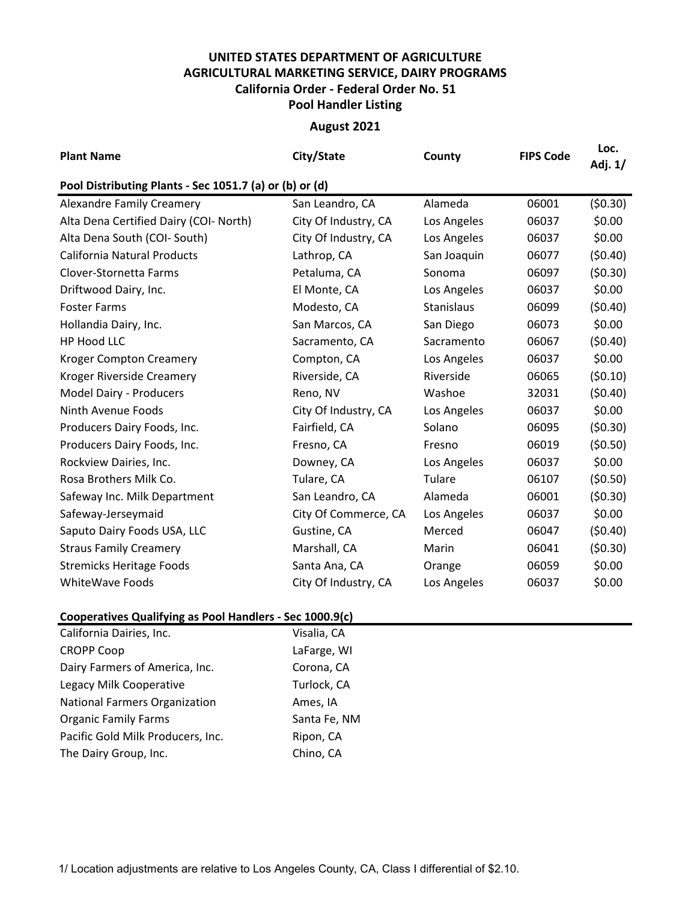## **UNITED STATES DEPARTMENT OF AGRICULTURE AGRICULTURAL MARKETING SERVICE, DAIRY PROGRAMS Pool Handler Listing California Order - Federal Order No. 51**

## **August 2021**

| <b>Plant Name</b>                                       | City/State           | County      | <b>FIPS Code</b> | Loc.<br>Adj. 1/ |  |  |  |  |  |
|---------------------------------------------------------|----------------------|-------------|------------------|-----------------|--|--|--|--|--|
| Pool Distributing Plants - Sec 1051.7 (a) or (b) or (d) |                      |             |                  |                 |  |  |  |  |  |
| <b>Alexandre Family Creamery</b>                        | San Leandro, CA      | Alameda     | 06001            | (50.30)         |  |  |  |  |  |
| Alta Dena Certified Dairy (COI- North)                  | City Of Industry, CA | Los Angeles | 06037            | \$0.00          |  |  |  |  |  |
| Alta Dena South (COI- South)                            | City Of Industry, CA | Los Angeles | 06037            | \$0.00          |  |  |  |  |  |
| <b>California Natural Products</b>                      | Lathrop, CA          | San Joaquin | 06077            | (50.40)         |  |  |  |  |  |
| Clover-Stornetta Farms                                  | Petaluma, CA         | Sonoma      | 06097            | (50.30)         |  |  |  |  |  |
| Driftwood Dairy, Inc.                                   | El Monte, CA         | Los Angeles | 06037            | \$0.00          |  |  |  |  |  |
| <b>Foster Farms</b>                                     | Modesto, CA          | Stanislaus  | 06099            | (50.40)         |  |  |  |  |  |
| Hollandia Dairy, Inc.                                   | San Marcos, CA       | San Diego   | 06073            | \$0.00          |  |  |  |  |  |
| <b>HP Hood LLC</b>                                      | Sacramento, CA       | Sacramento  | 06067            | (50.40)         |  |  |  |  |  |
| <b>Kroger Compton Creamery</b>                          | Compton, CA          | Los Angeles | 06037            | \$0.00          |  |  |  |  |  |
| Kroger Riverside Creamery                               | Riverside, CA        | Riverside   | 06065            | (50.10)         |  |  |  |  |  |
| Model Dairy - Producers                                 | Reno, NV             | Washoe      | 32031            | (50.40)         |  |  |  |  |  |
| Ninth Avenue Foods                                      | City Of Industry, CA | Los Angeles | 06037            | \$0.00          |  |  |  |  |  |
| Producers Dairy Foods, Inc.                             | Fairfield, CA        | Solano      | 06095            | (50.30)         |  |  |  |  |  |
| Producers Dairy Foods, Inc.                             | Fresno, CA           | Fresno      | 06019            | (50.50)         |  |  |  |  |  |
| Rockview Dairies, Inc.                                  | Downey, CA           | Los Angeles | 06037            | \$0.00          |  |  |  |  |  |
| Rosa Brothers Milk Co.                                  | Tulare, CA           | Tulare      | 06107            | (50.50)         |  |  |  |  |  |
| Safeway Inc. Milk Department                            | San Leandro, CA      | Alameda     | 06001            | (50.30)         |  |  |  |  |  |
| Safeway-Jerseymaid                                      | City Of Commerce, CA | Los Angeles | 06037            | \$0.00          |  |  |  |  |  |
| Saputo Dairy Foods USA, LLC                             | Gustine, CA          | Merced      | 06047            | (50.40)         |  |  |  |  |  |
| <b>Straus Family Creamery</b>                           | Marshall, CA         | Marin       | 06041            | (50.30)         |  |  |  |  |  |
| <b>Stremicks Heritage Foods</b>                         | Santa Ana, CA        | Orange      | 06059            | \$0.00          |  |  |  |  |  |
| <b>WhiteWave Foods</b>                                  | City Of Industry, CA | Los Angeles | 06037            | \$0.00          |  |  |  |  |  |

## **Cooperatives Qualifying as Pool Handlers - Sec 1000.9(c)**

| Visalia, CA  |
|--------------|
| LaFarge, WI  |
| Corona, CA   |
| Turlock, CA  |
| Ames, IA     |
| Santa Fe, NM |
| Ripon, CA    |
| Chino, CA    |
|              |